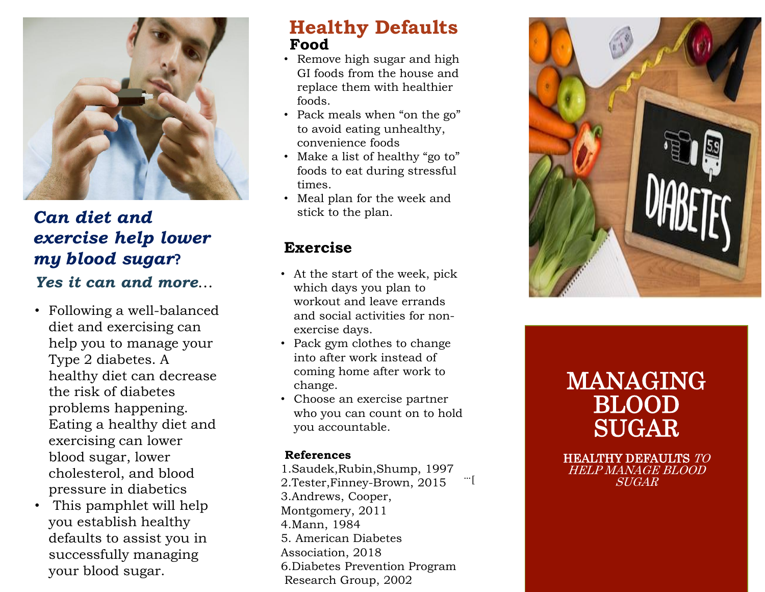

## *Can diet and exercise help lower my blood sugar***?** *Yes it can and more* …

- Following a well -balanced diet and exercising can help you to manage your Type 2 diabetes. A healthy diet can decrease the risk of diabetes problems happening. Eating a healthy diet and exercising can lower blood sugar, lower cholesterol, and blood pressure in diabetics
- This pamphlet will help you establish healthy defaults to assist you in successfully managing your blood sugar.

#### **Healthy Defaults Food**

- Remove high sugar and high GI foods from the house and replace them with healthier foods.
- Pack meals when "on the go" to avoid eating unhealthy, convenience foods
- Make a list of healthy "go to" foods to eat during stressful times.
- Meal plan for the week and stick to the plan.

#### **Exercise**

- At the start of the week, pick which days you plan to workout and leave errands and social activities for non exercise days.
- Pack gym clothes to change into after work instead of coming home after work to change.
- Choose an exercise partner who you can count on to hold you accountable.

#### **References**

1.Saudek,Rubin,Shump, 1997 2.Tester,Finney -Brown, 2015 3.Andrews, Cooper, Montgomery, 2011 4.Mann, 1984 5. American Diabetes Association, 2018 6.Diabetes Prevention Program Research Group, 2002 ]…



# MANAGING BLOOD SUGAR

HEALTHY DEFAULTS TO HELP MANAGE BLOOD SUGAR